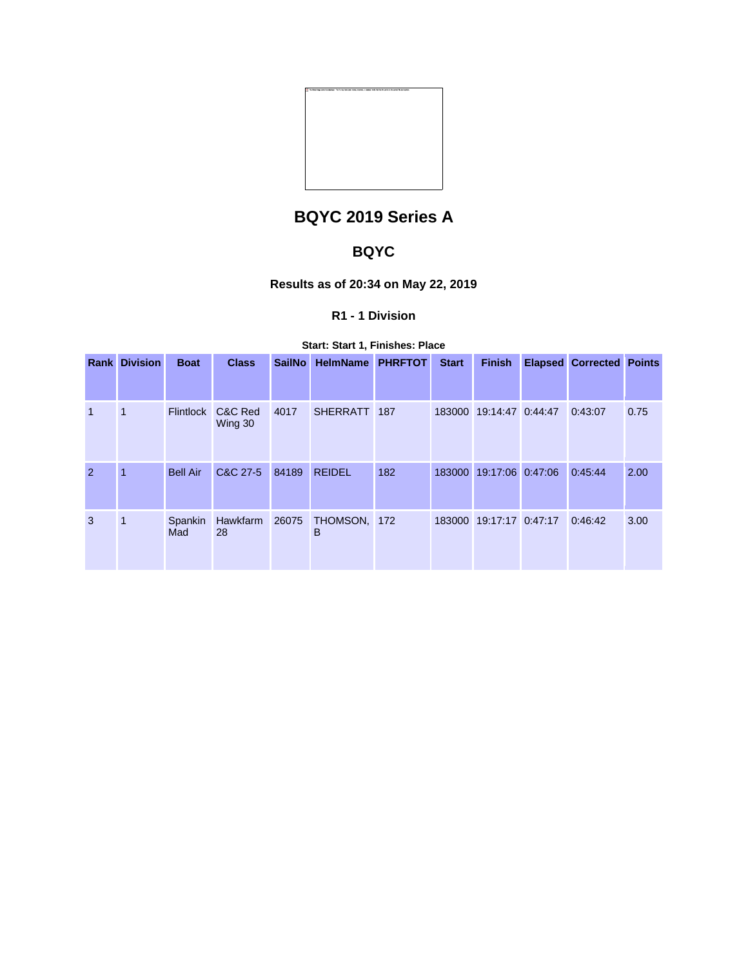

# **BQYC 2019 Series A**

## **BQYC**

### **Results as of 20:34 on May 22, 2019**

### **R1 - 1 Division**

#### **Start: Start 1, Finishes: Place**

|               | <b>Rank Division</b> | <b>Boat</b>      | <b>Class</b>         | <b>SailNo</b> | <b>HelmName</b>   | <b>PHRFTOT</b> | <b>Start</b> | <b>Finish</b>           | <b>Elapsed Corrected Points</b> |      |
|---------------|----------------------|------------------|----------------------|---------------|-------------------|----------------|--------------|-------------------------|---------------------------------|------|
|               |                      |                  |                      |               |                   |                |              |                         |                                 |      |
| $\mathbf{1}$  | 1                    | <b>Flintlock</b> | C&C Red<br>Wing 30   | 4017          | SHERRATT 187      |                |              | 183000 19:14:47 0:44:47 | 0:43:07                         | 0.75 |
| $\mathcal{P}$ | 1                    | <b>Bell Air</b>  | C&C 27-5             | 84189         | <b>REIDEL</b>     | 182            |              | 183000 19:17:06 0:47:06 | 0:45:44                         | 2.00 |
| 3             | 1                    | Spankin<br>Mad   | Hawkfarm 26075<br>28 |               | THOMSON, 172<br>B |                |              | 183000 19:17:17 0:47:17 | 0:46:42                         | 3.00 |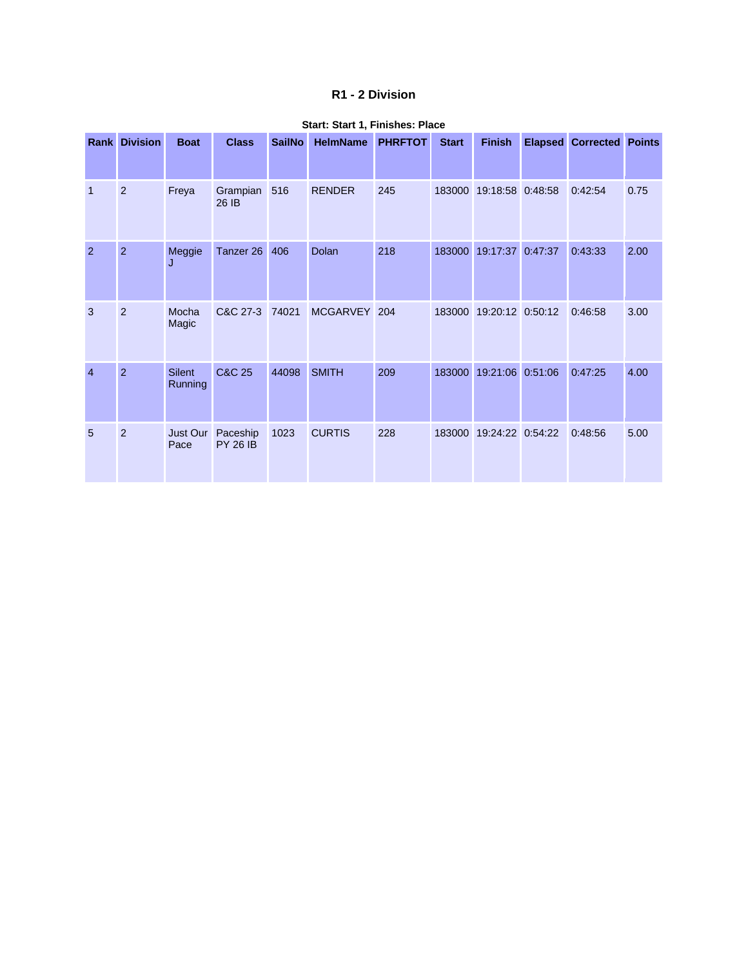#### **R1 - 2 Division**

|                | <b>Rank Division</b> | <b>Boat</b>              | <b>Class</b>                | <b>SailNo</b> | <b>HelmName</b> | <b>PHRFTOT</b> | <b>Start</b> | <b>Finish</b>    | <b>Elapsed</b> | <b>Corrected Points</b> |      |
|----------------|----------------------|--------------------------|-----------------------------|---------------|-----------------|----------------|--------------|------------------|----------------|-------------------------|------|
| $\overline{1}$ | $\overline{2}$       | Freya                    | Grampian<br>26 IB           | 516           | <b>RENDER</b>   | 245            | 183000       | 19:18:58 0:48:58 |                | 0:42:54                 | 0.75 |
| $\overline{2}$ | $\overline{2}$       | Meggie<br>J              | Tanzer 26                   | 406           | Dolan           | 218            | 183000       | 19:17:37         | 0:47:37        | 0:43:33                 | 2.00 |
| 3              | $\overline{2}$       | Mocha<br>Magic           | C&C 27-3                    | 74021         | MCGARVEY 204    |                | 183000       | 19:20:12 0:50:12 |                | 0:46:58                 | 3.00 |
| $\overline{4}$ | $\overline{2}$       | <b>Silent</b><br>Running | C&C 25                      | 44098         | <b>SMITH</b>    | 209            | 183000       | 19:21:06         | 0:51:06        | 0:47:25                 | 4.00 |
| 5              | 2                    | Just Our<br>Pace         | Paceship<br><b>PY 26 IB</b> | 1023          | <b>CURTIS</b>   | 228            | 183000       | 19:24:22 0:54:22 |                | 0:48:56                 | 5.00 |

#### **Start: Start 1, Finishes: Place**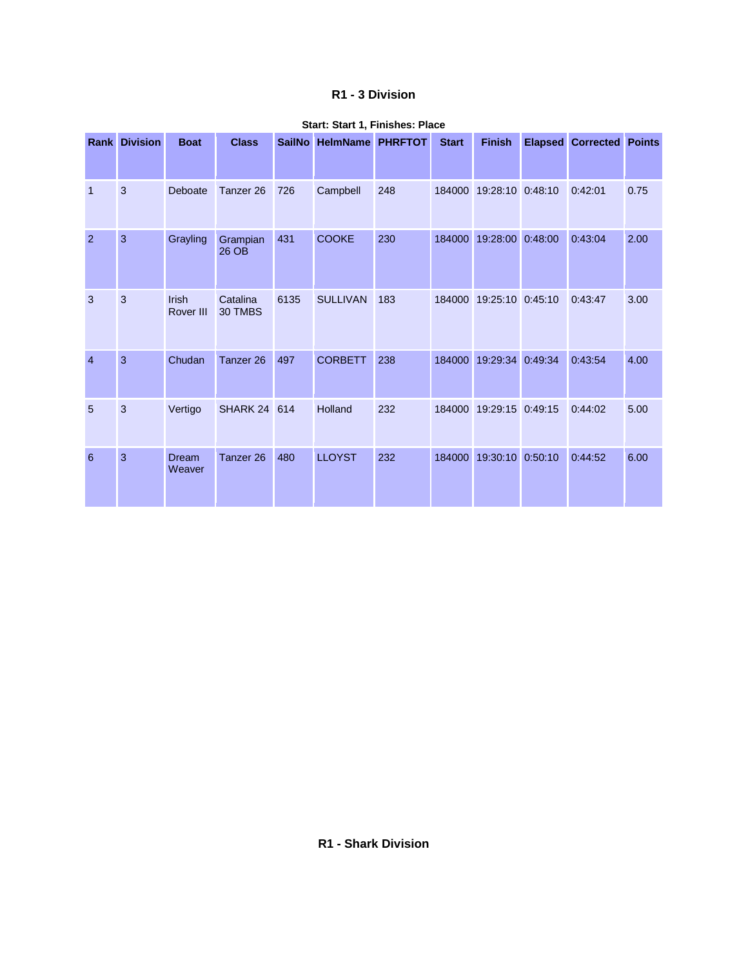#### **R1 - 3 Division**

| Rank           | <b>Division</b> | <b>Boat</b>        | <b>Class</b>         | <b>SailNo</b> | <b>HelmName</b> | <b>PHRFTOT</b> | <b>Start</b> | <b>Finish</b>    | <b>Elapsed</b> | <b>Corrected Points</b> |      |
|----------------|-----------------|--------------------|----------------------|---------------|-----------------|----------------|--------------|------------------|----------------|-------------------------|------|
| $\mathbf{1}$   | 3               | Deboate            | Tanzer <sub>26</sub> | 726           | Campbell        | 248            | 184000       | 19:28:10 0:48:10 |                | 0:42:01                 | 0.75 |
| 2              | 3               | Grayling           | Grampian<br>26 OB    | 431           | <b>COOKE</b>    | 230            | 184000       | 19:28:00         | 0:48:00        | 0:43:04                 | 2.00 |
| 3              | $\mathbf{3}$    | Irish<br>Rover III | Catalina<br>30 TMBS  | 6135          | <b>SULLIVAN</b> | 183            | 184000       | 19:25:10 0:45:10 |                | 0:43:47                 | 3.00 |
| $\overline{4}$ | 3               | Chudan             | Tanzer 26            | 497           | <b>CORBETT</b>  | 238            | 184000       | 19:29:34         | 0:49:34        | 0:43:54                 | 4.00 |
| 5              | 3               | Vertigo            | <b>SHARK 24 614</b>  |               | Holland         | 232            | 184000       | 19:29:15 0:49:15 |                | 0:44:02                 | 5.00 |
| 6              | $\overline{3}$  | Dream<br>Weaver    | Tanzer 26            | 480           | <b>LLOYST</b>   | 232            | 184000       | 19:30:10         | 0:50:10        | 0:44:52                 | 6.00 |

#### **Start: Start 1, Finishes: Place**

**R1 - Shark Division**